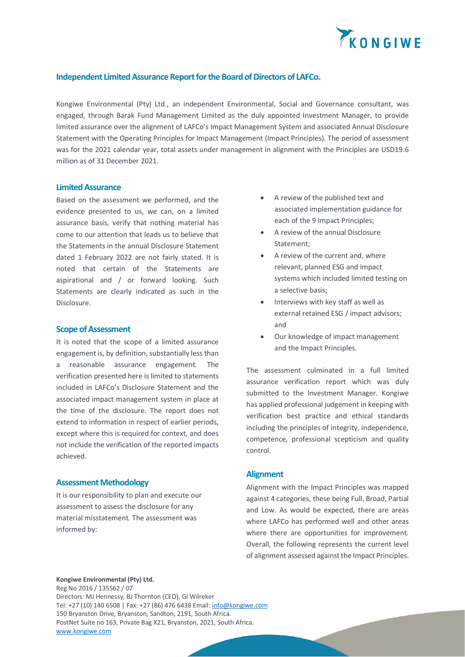

# **Independent Limited Assurance Report for the Board of Directors of LAFCo.**

Kongiwe Environmental (Pty) Ltd., an independent Environmental, Social and Governance consultant, was engaged, through Barak Fund Management Limited as the duly appointed Investment Manager, to provide limited assurance over the alignment of LAFCo's Impact Management System and associated Annual Disclosure Statement with the Operating Principles for Impact Management (Impact Principles). The period of assessment was for the 2021 calendar year, total assets under management in alignment with the Principles are USD19.6 million as of 31 December 2021.

#### **Limited Assurance**

Based on the assessment we performed, and the evidence presented to us, we can, on a limited assurance basis, verify that nothing material has come to our attention that leads us to believe that the Statements in the annual Disclosure Statement dated 1 February 2022 are not fairly stated. It is noted that certain of the Statements are aspirational and / or forward looking. Such Statements are clearly indicated as such in the Disclosure.

### **Scope of Assessment**

It is noted that the scope of a limited assurance engagement is, by definition, substantially less than a reasonable assurance engagement. The verification presented here is limited to statements included in LAFCo's Disclosure Statement and the associated impact management system in place at the time of the disclosure. The report does not extend to information in respect of earlier periods, except where this is required for context, and does not include the verification of the reported impacts achieved.

### **Assessment Methodology**

It is our responsibility to plan and execute our assessment to assess the disclosure for any material misstatement. The assessment was informed by:

- A review of the published text and associated implementation guidance for each of the 9 Impact Principles;
- A review of the annual Disclosure Statement;
- A review of the current and, where relevant, planned ESG and Impact systems which included limited testing on a selective basis;
- Interviews with key staff as well as external retained ESG / impact advisors; and
- Our knowledge of impact management and the Impact Principles.

The assessment culminated in a full limited assurance verification report which was duly submitted to the Investment Manager. Kongiwe has applied professional judgement in keeping with verification best practice and ethical standards including the principles of integrity, independence, competence, professional scepticism and quality control.

### **Alignment**

Alignment with the Impact Principles was mapped against 4 categories, these being Full, Broad, Partial and Low. As would be expected, there are areas where LAFCo has performed well and other areas where there are opportunities for improvement. Overall, the following represents the current level of alignment assessed against the Impact Principles.

### **Kongiwe Environmental (Pty) Ltd.**

Reg No 2016 / 135562 / 07 Directors: MJ Hennessy, BJ Thornton (CEO), GI Wilreker Tel: +27 (10) 140 6508 | Fax: +27 (86) 476 6438 Email[: info@kongiwe.com](mailto:info@kongiwe.com) 150 Bryanston Drive, Bryanston, Sandton, 2191, South Africa. PostNet Suite no 163, Private Bag X21, Bryanston, 2021, South Africa. [www.kongiwe.com](http://www.kongiwe.com/)